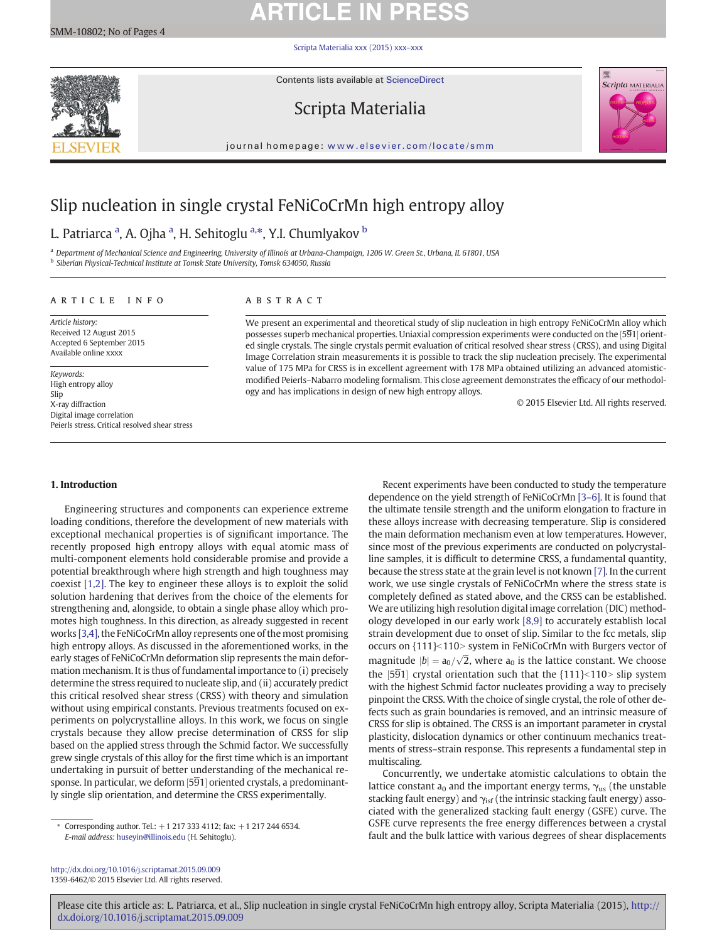# **ARTICLE IN PRESS**

#### [Scripta Materialia xxx \(2015\) xxx](http://dx.doi.org/10.1016/j.scriptamat.2015.09.009)–xxx



Contents lists available at ScienceDirect

## Scripta Materialia



journal homepage: <www.elsevier.com/locate/smm>

## Slip nucleation in single crystal FeNiCoCrMn high entropy alloy

## L. Patriarca <sup>a</sup>, A. Ojha <sup>a</sup>, H. Sehitoglu <sup>a,</sup>\*, Y.I. Chumlyakov <sup>b</sup>

a Department of Mechanical Science and Engineering, University of Illinois at Urbana-Champaign, 1206 W. Green St., Urbana, IL 61801, USA <sup>b</sup> Siberian Physical-Technical Institute at Tomsk State University, Tomsk 634050, Russia

#### article info abstract

Article history: Received 12 August 2015 Accepted 6 September 2015 Available online xxxx

Keywords: High entropy alloy Slip X-ray diffraction Digital image correlation Peierls stress. Critical resolved shear stress

We present an experimental and theoretical study of slip nucleation in high entropy FeNiCoCrMn alloy which possesses superb mechanical properties. Uniaxial compression experiments were conducted on the [591] orient-<br>od single crystals. The single crystals permit evaluation of critical resolved share stress (CBSS), and using Dig ed single crystals. The single crystals permit evaluation of critical resolved shear stress (CRSS), and using Digital Image Correlation strain measurements it is possible to track the slip nucleation precisely. The experimental value of 175 MPa for CRSS is in excellent agreement with 178 MPa obtained utilizing an advanced atomisticmodified Peierls–Nabarro modeling formalism. This close agreement demonstrates the efficacy of our methodology and has implications in design of new high entropy alloys.

© 2015 Elsevier Ltd. All rights reserved.

### 1. Introduction

Engineering structures and components can experience extreme loading conditions, therefore the development of new materials with exceptional mechanical properties is of significant importance. The recently proposed high entropy alloys with equal atomic mass of multi-component elements hold considerable promise and provide a potential breakthrough where high strength and high toughness may coexist [\[1,2\].](#page-3-0) The key to engineer these alloys is to exploit the solid solution hardening that derives from the choice of the elements for strengthening and, alongside, to obtain a single phase alloy which promotes high toughness. In this direction, as already suggested in recent works [\[3,4\]](#page-3-0), the FeNiCoCrMn alloy represents one of the most promising high entropy alloys. As discussed in the aforementioned works, in the early stages of FeNiCoCrMn deformation slip represents the main deformation mechanism. It is thus of fundamental importance to (i) precisely determine the stress required to nucleate slip, and (ii) accurately predict this critical resolved shear stress (CRSS) with theory and simulation without using empirical constants. Previous treatments focused on experiments on polycrystalline alloys. In this work, we focus on single crystals because they allow precise determination of CRSS for slip based on the applied stress through the Schmid factor. We successfully grew single crystals of this alloy for the first time which is an important undertaking in pursuit of better understanding of the mechanical response. In particular, we deform [591] oriented crystals, a predominant-<br>Jy single slip orientation, and determine the CBSS experimentally ly single slip orientation, and determine the CRSS experimentally.

<http://dx.doi.org/10.1016/j.scriptamat.2015.09.009> 1359-6462/© 2015 Elsevier Ltd. All rights reserved.

Recent experiments have been conducted to study the temperature dependence on the yield strength of FeNiCoCrMn [3–[6\].](#page-3-0) It is found that the ultimate tensile strength and the uniform elongation to fracture in these alloys increase with decreasing temperature. Slip is considered the main deformation mechanism even at low temperatures. However, since most of the previous experiments are conducted on polycrystalline samples, it is difficult to determine CRSS, a fundamental quantity, because the stress state at the grain level is not known [\[7\]](#page-3-0). In the current work, we use single crystals of FeNiCoCrMn where the stress state is completely defined as stated above, and the CRSS can be established. We are utilizing high resolution digital image correlation (DIC) methodology developed in our early work [\[8,9\]](#page-3-0) to accurately establish local strain development due to onset of slip. Similar to the fcc metals, slip occurs on {111}<110> system in FeNiCoCrMn with Burgers vector of magnitude  $|b| = a_0/\sqrt{2}$ , where  $a_0$  is the lattice constant. We choose the [591] crystal orientation such that the  $\{111\}$ <110> slip system<br>with the highest Schmid factor pucleates providing a way to precisely with the highest Schmid factor nucleates providing a way to precisely pinpoint the CRSS. With the choice of single crystal, the role of other defects such as grain boundaries is removed, and an intrinsic measure of CRSS for slip is obtained. The CRSS is an important parameter in crystal plasticity, dislocation dynamics or other continuum mechanics treatments of stress–strain response. This represents a fundamental step in multiscaling.

Concurrently, we undertake atomistic calculations to obtain the lattice constant  $a_0$  and the important energy terms,  $\gamma_{us}$  (the unstable stacking fault energy) and  $\gamma_{\text{isf}}$  (the intrinsic stacking fault energy) associated with the generalized stacking fault energy (GSFE) curve. The GSFE curve represents the free energy differences between a crystal fault and the bulk lattice with various degrees of shear displacements

Please cite this article as: L. Patriarca, et al., Slip nucleation in single crystal FeNiCoCrMn high entropy alloy, Scripta Materialia (2015), [http://](http://dx.doi.org/10.1016/j.scriptamat.2015.09.009) [dx.doi.org/10.1016/j.scriptamat.2015.09.009](http://dx.doi.org/10.1016/j.scriptamat.2015.09.009)

<sup>⁎</sup> Corresponding author. Tel.: +1 217 333 4112; fax: +1 217 244 6534. E-mail address: [huseyin@illinois.edu](mailto:huseyin@illinois.edu) (H. Sehitoglu).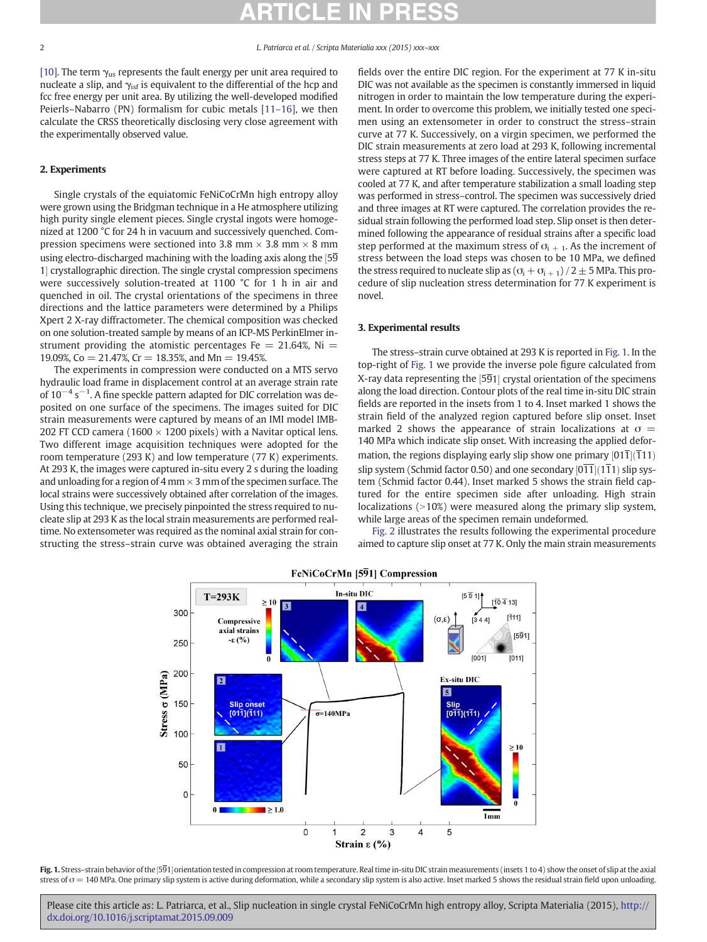[\[10\]](#page-3-0). The term  $\gamma_{us}$  represents the fault energy per unit area required to nucleate a slip, and  $\gamma_{\rm isf}$  is equivalent to the differential of the hcp and fcc free energy per unit area. By utilizing the well-developed modified Peierls–Nabarro (PN) formalism for cubic metals [11–[16\],](#page-3-0) we then calculate the CRSS theoretically disclosing very close agreement with the experimentally observed value.

#### 2. Experiments

Single crystals of the equiatomic FeNiCoCrMn high entropy alloy were grown using the Bridgman technique in a He atmosphere utilizing high purity single element pieces. Single crystal ingots were homogenized at 1200 °C for 24 h in vacuum and successively quenched. Compression specimens were sectioned into 3.8 mm  $\times$  3.8 mm  $\times$  8 mm using electro-discharged machining with the loading axis along the  $[5\overline{9}]$ 1] crystallographic direction. The single crystal compression specimens<br>were successively solution-treated at 1100 °C for 1 b in air and were successively solution-treated at 1100 °C for 1 h in air and quenched in oil. The crystal orientations of the specimens in three directions and the lattice parameters were determined by a Philips Xpert 2 X-ray diffractometer. The chemical composition was checked on one solution-treated sample by means of an ICP-MS PerkinElmer instrument providing the atomistic percentages Fe  $= 21.64\%$ , Ni  $=$ 19.09%, Co = 21.47%, Cr = 18.35%, and Mn = 19.45%.

The experiments in compression were conducted on a MTS servo hydraulic load frame in displacement control at an average strain rate of 10<sup>-4</sup> s<sup>-1</sup>. A fine speckle pattern adapted for DIC correlation was deposited on one surface of the specimens. The images suited for DIC strain measurements were captured by means of an IMI model IMB-202 FT CCD camera (1600  $\times$  1200 pixels) with a Navitar optical lens. Two different image acquisition techniques were adopted for the room temperature (293 K) and low temperature (77 K) experiments. At 293 K, the images were captured in-situ every 2 s during the loading and unloading for a region of 4 mm  $\times$  3 mm of the specimen surface. The local strains were successively obtained after correlation of the images. Using this technique, we precisely pinpointed the stress required to nucleate slip at 293 K as the local strain measurements are performed realtime. No extensometer was required as the nominal axial strain for constructing the stress–strain curve was obtained averaging the strain fields over the entire DIC region. For the experiment at 77 K in-situ DIC was not available as the specimen is constantly immersed in liquid nitrogen in order to maintain the low temperature during the experiment. In order to overcome this problem, we initially tested one specimen using an extensometer in order to construct the stress–strain curve at 77 K. Successively, on a virgin specimen, we performed the DIC strain measurements at zero load at 293 K, following incremental stress steps at 77 K. Three images of the entire lateral specimen surface were captured at RT before loading. Successively, the specimen was cooled at 77 K, and after temperature stabilization a small loading step was performed in stress–control. The specimen was successively dried and three images at RT were captured. The correlation provides the residual strain following the performed load step. Slip onset is then determined following the appearance of residual strains after a specific load step performed at the maximum stress of  $\sigma_{i+1}$ . As the increment of stress between the load steps was chosen to be 10 MPa, we defined the stress required to nucleate slip as  $(\sigma_i + \sigma_{i+1})/2 \pm 5$  MPa. This procedure of slip nucleation stress determination for 77 K experiment is novel.

### 3. Experimental results

The stress–strain curve obtained at 293 K is reported in Fig. 1. In the top-right of Fig. 1 we provide the inverse pole figure calculated from X-ray data representing the [591] crystal orientation of the specimens<br>along the load direction. Contour plots of the real time in-situ DIC strain along the load direction. Contour plots of the real time in-situ DIC strain fields are reported in the insets from 1 to 4. Inset marked 1 shows the strain field of the analyzed region captured before slip onset. Inset marked 2 shows the appearance of strain localizations at  $\sigma =$ 140 MPa which indicate slip onset. With increasing the applied deformation, the regions displaying early slip show one primary  $[011](111)$ slip system (Schmid factor 0.50) and one secondary  $[011](111)$  slip system (Schmid factor 0.44). Inset marked 5 shows the strain field can tem (Schmid factor 0.44). Inset marked 5 shows the strain field captured for the entire specimen side after unloading. High strain localizations  $(>10%)$  were measured along the primary slip system, while large areas of the specimen remain undeformed.

[Fig. 2](#page-2-0) illustrates the results following the experimental procedure aimed to capture slip onset at 77 K. Only the main strain measurements



**Fig. 1.** Stress–strain behavior of the [591] orientation tested in compression at room temperature. Real time in-situ DIC strain measurements (insets 1 to 4) show the onset of slip at the axial the axial strain behavior stress of  $\sigma = 140$  MPa. One primary slip system is active during deformation, while a secondary slip system is also active. Inset marked 5 shows the residual strain field upon unloading.

Please cite this article as: L. Patriarca, et al., Slip nucleation in single crystal FeNiCoCrMn high entropy alloy, Scripta Materialia (2015), [http://](http://dx.doi.org/10.1016/j.scriptamat.2015.09.009) [dx.doi.org/10.1016/j.scriptamat.2015.09.009](http://dx.doi.org/10.1016/j.scriptamat.2015.09.009)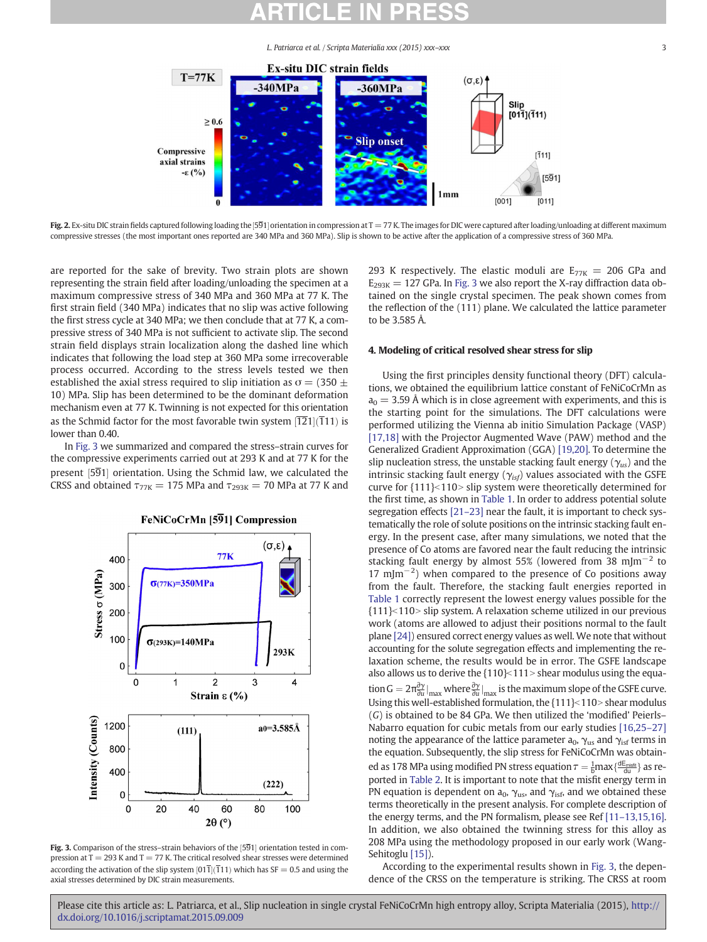L. Patriarca et al. / Scripta Materialia xxx (2015) xxx–xxx 3

<span id="page-2-0"></span>

**Fig. 2.** Ex-situ DIC strain fields captured following loading the [591] orientation in compression at T = 77 K. The images for DIC were captured after loading/unloading at different maximum<br>compressive stresses (the most compressive stresses (the most important ones reported are 340 MPa and 360 MPa). Slip is shown to be active after the application of a compressive stress of 360 MPa.

are reported for the sake of brevity. Two strain plots are shown representing the strain field after loading/unloading the specimen at a maximum compressive stress of 340 MPa and 360 MPa at 77 K. The first strain field (340 MPa) indicates that no slip was active following the first stress cycle at 340 MPa; we then conclude that at 77 K, a compressive stress of 340 MPa is not sufficient to activate slip. The second strain field displays strain localization along the dashed line which indicates that following the load step at 360 MPa some irrecoverable process occurred. According to the stress levels tested we then established the axial stress required to slip initiation as  $\sigma = (350 \pm$ 10) MPa. Slip has been determined to be the dominant deformation mechanism even at 77 K. Twinning is not expected for this orientation as the Schmid factor for the most favorable twin system [121](111) is<br>lower than 0.40 lower than 0.40.

In Fig. 3 we summarized and compared the stress–strain curves for the compressive experiments carried out at 293 K and at 77 K for the present [591] orientation. Using the Schmid law, we calculated the<br>CPSS and obtained  $\tau_{\text{max}} = 175$  MPa and  $\tau_{\text{max}} = 70$  MPa at 77 K and CRSS and obtained  $\tau_{77K} = 175$  MPa and  $\tau_{293K} = 70$  MPa at 77 K and



**Fig. 3.** Comparison of the stress–strain behaviors of the [591] orientation tested in com-<br>pression at  $T = 203$  K and  $T = 77$  K. The suitieal resolved share tresses were determined pression at  $T = 293$  K and  $T = 77$  K. The critical resolved shear stresses were determined according the activation of the slip system  $[011](111)$  which has SF = 0.5 and using the<br>axial stresses determined by DIC strain moasurements axial stresses determined by DIC strain measurements.

293 K respectively. The elastic moduli are  $E_{77K}$  = 206 GPa and  $E_{293K}$  = 127 GPa. In Fig. 3 we also report the X-ray diffraction data obtained on the single crystal specimen. The peak shown comes from the reflection of the (111) plane. We calculated the lattice parameter to be 3.585 Å.

### 4. Modeling of critical resolved shear stress for slip

Using the first principles density functional theory (DFT) calculations, we obtained the equilibrium lattice constant of FeNiCoCrMn as  $a_0 = 3.59$  Å which is in close agreement with experiments, and this is the starting point for the simulations. The DFT calculations were performed utilizing the Vienna ab initio Simulation Package (VASP) [\[17,18\]](#page-3-0) with the Projector Augmented Wave (PAW) method and the Generalized Gradient Approximation (GGA) [\[19,20\].](#page-3-0) To determine the slip nucleation stress, the unstable stacking fault energy ( $\gamma_{us}$ ) and the intrinsic stacking fault energy ( $\gamma_{isf}$ ) values associated with the GSFE curve for  ${111}$  $<$ 110 $>$  slip system were theoretically determined for the first time, as shown in [Table 1.](#page-3-0) In order to address potential solute segregation effects [\[21](#page-3-0)–23] near the fault, it is important to check systematically the role of solute positions on the intrinsic stacking fault energy. In the present case, after many simulations, we noted that the presence of Co atoms are favored near the fault reducing the intrinsic stacking fault energy by almost 55% (lowered from 38 mJm<sup>-2</sup> to 17 mJm<sup>-2</sup>) when compared to the presence of Co positions away from the fault. Therefore, the stacking fault energies reported in [Table 1](#page-3-0) correctly represent the lowest energy values possible for the  ${111}$  $<$ 110 $>$  slip system. A relaxation scheme utilized in our previous work (atoms are allowed to adjust their positions normal to the fault plane [\[24\]](#page-3-0)) ensured correct energy values as well. We note that without accounting for the solute segregation effects and implementing the relaxation scheme, the results would be in error. The GSFE landscape also allows us to derive the  $\{110\}$  <  $111$  > shear modulus using the equation  $G = 2\pi \frac{\partial y}{\partial u}\Big|_{\text{max}}$  where  $\frac{\partial y}{\partial u}\Big|_{\text{max}}$  is the maximum slope of the GSFE curve. Using this well-established formulation, the  $\{111\}$  <  $110$  > shear modulus (G) is obtained to be 84 GPa. We then utilized the 'modified' Peierls– Nabarro equation for cubic metals from our early studies [\[16,25](#page-3-0)–27] noting the appearance of the lattice parameter  $a_0$ ,  $\gamma_{us}$  and  $\gamma_{isf}$  terms in the equation. Subsequently, the slip stress for FeNiCoCrMn was obtained as 178 MPa using modified PN stress equation  $\tau = \frac{1}{6}$  max $\left\{\frac{dE_{\text{misft}}}{dU}\right\}$  as reported in [Table 2](#page-3-0). It is important to note that the misfit energy term in PN equation is dependent on  $a_0$ ,  $\gamma_{us}$ , and  $\gamma_{isf}$ , and we obtained these terms theoretically in the present analysis. For complete description of the energy terms, and the PN formalism, please see Ref [11–[13,15,16\].](#page-3-0) In addition, we also obtained the twinning stress for this alloy as 208 MPa using the methodology proposed in our early work (Wang-Sehitoglu [\[15\]](#page-3-0)).

According to the experimental results shown in Fig. 3, the dependence of the CRSS on the temperature is striking. The CRSS at room

Please cite this article as: L. Patriarca, et al., Slip nucleation in single crystal FeNiCoCrMn high entropy alloy, Scripta Materialia (2015), [http://](http://dx.doi.org/10.1016/j.scriptamat.2015.09.009) [dx.doi.org/10.1016/j.scriptamat.2015.09.009](http://dx.doi.org/10.1016/j.scriptamat.2015.09.009)